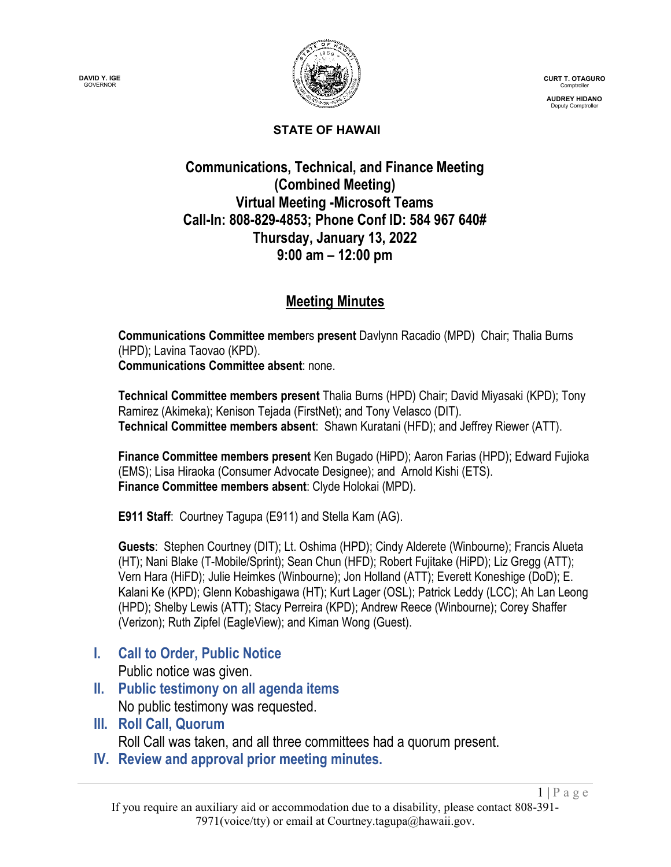

**CURT T. OTAGURO** Comptroller

**AUDREY HIDANO** Deputy Comptroller

 $1 | P \text{ a } g \text{ e}$ 

#### **STATE OF HAWAII**

### **Communications, Technical, and Finance Meeting (Combined Meeting) Virtual Meeting -Microsoft Teams Call-In: 808-829-4853; Phone Conf ID: 584 967 640# Thursday, January 13, 2022 9:00 am – 12:00 pm**

## **Meeting Minutes**

**Communications Committee membe**rs **present** Davlynn Racadio (MPD) Chair; Thalia Burns (HPD); Lavina Taovao (KPD). **Communications Committee absent**: none.

**Technical Committee members present** Thalia Burns (HPD) Chair; David Miyasaki (KPD); Tony Ramirez (Akimeka); Kenison Tejada (FirstNet); and Tony Velasco (DIT). **Technical Committee members absent**: Shawn Kuratani (HFD); and Jeffrey Riewer (ATT).

**Finance Committee members present** Ken Bugado (HiPD); Aaron Farias (HPD); Edward Fujioka (EMS); Lisa Hiraoka (Consumer Advocate Designee); and Arnold Kishi (ETS). **Finance Committee members absent**: Clyde Holokai (MPD).

**E911 Staff**: Courtney Tagupa (E911) and Stella Kam (AG).

**Guests**: Stephen Courtney (DIT); Lt. Oshima (HPD); Cindy Alderete (Winbourne); Francis Alueta (HT); Nani Blake (T-Mobile/Sprint); Sean Chun (HFD); Robert Fujitake (HiPD); Liz Gregg (ATT); Vern Hara (HiFD); Julie Heimkes (Winbourne); Jon Holland (ATT); Everett Koneshige (DoD); E. Kalani Ke (KPD); Glenn Kobashigawa (HT); Kurt Lager (OSL); Patrick Leddy (LCC); Ah Lan Leong (HPD); Shelby Lewis (ATT); Stacy Perreira (KPD); Andrew Reece (Winbourne); Corey Shaffer (Verizon); Ruth Zipfel (EagleView); and Kiman Wong (Guest).

**I. Call to Order, Public Notice**

Public notice was given.

- **II. Public testimony on all agenda items** No public testimony was requested.
- **III. Roll Call, Quorum**

Roll Call was taken, and all three committees had a quorum present.

**IV. Review and approval prior meeting minutes.**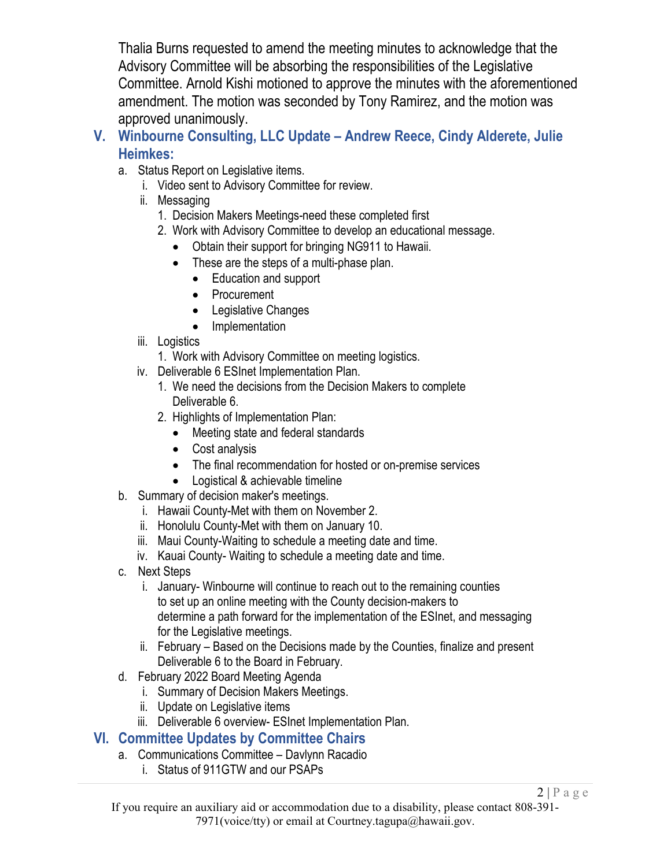Thalia Burns requested to amend the meeting minutes to acknowledge that the Advisory Committee will be absorbing the responsibilities of the Legislative Committee. Arnold Kishi motioned to approve the minutes with the aforementioned amendment. The motion was seconded by Tony Ramirez, and the motion was approved unanimously.

- **V. Winbourne Consulting, LLC Update – Andrew Reece, Cindy Alderete, Julie Heimkes:**
	- a. Status Report on Legislative items.
		- i. Video sent to Advisory Committee for review.
		- ii. Messaging
			- 1. Decision Makers Meetings-need these completed first
			- 2. Work with Advisory Committee to develop an educational message.
				- Obtain their support for bringing NG911 to Hawaii.
				- These are the steps of a multi-phase plan.
					- Education and support
					- Procurement
					- Legislative Changes
					- Implementation
		- iii. Logistics
			- 1. Work with Advisory Committee on meeting logistics.
		- iv. Deliverable 6 ESInet Implementation Plan.
			- 1. We need the decisions from the Decision Makers to complete Deliverable 6.
			- 2. Highlights of Implementation Plan:
				- Meeting state and federal standards
				- Cost analysis
				- The final recommendation for hosted or on-premise services
				- Logistical & achievable timeline
	- b. Summary of decision maker's meetings.
		- i. Hawaii County-Met with them on November 2.
		- ii. Honolulu County-Met with them on January 10.
		- iii. Maui County-Waiting to schedule a meeting date and time.
		- iv. Kauai County- Waiting to schedule a meeting date and time.
	- c. Next Steps
		- i. January- Winbourne will continue to reach out to the remaining counties to set up an online meeting with the County decision-makers to determine a path forward for the implementation of the ESInet, and messaging for the Legislative meetings.
		- ii. February Based on the Decisions made by the Counties, finalize and present Deliverable 6 to the Board in February.
	- d. February 2022 Board Meeting Agenda
		- i. Summary of Decision Makers Meetings.
		- ii. Update on Legislative items
		- iii. Deliverable 6 overview- ESInet Implementation Plan.

## **VI. Committee Updates by Committee Chairs**

- a. Communications Committee Davlynn Racadio
	- i. Status of 911GTW and our PSAPs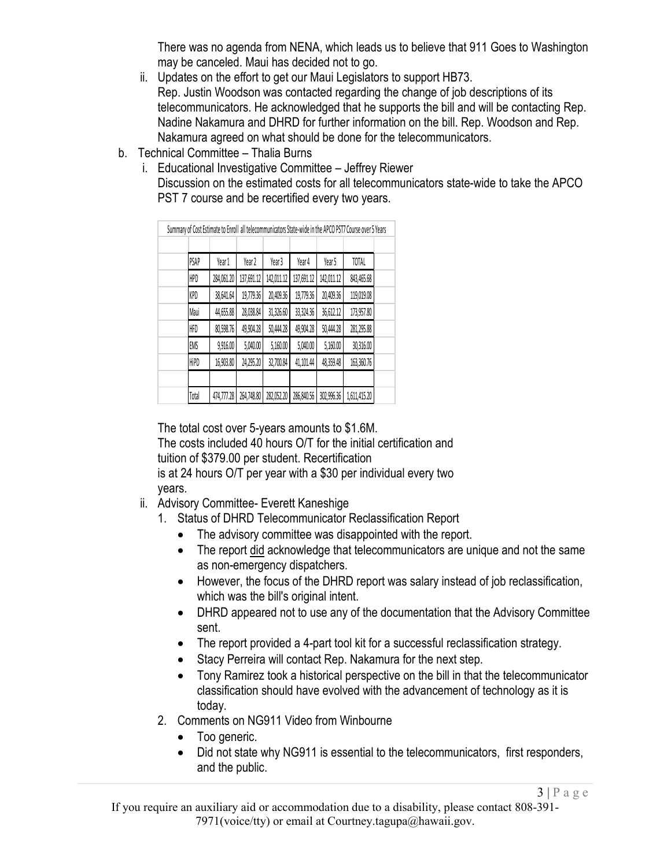There was no agenda from NENA, which leads us to believe that 911 Goes to Washington may be canceled. Maui has decided not to go.

- ii. Updates on the effort to get our Maui Legislators to support HB73. Rep. Justin Woodson was contacted regarding the change of job descriptions of its telecommunicators. He acknowledged that he supports the bill and will be contacting Rep. Nadine Nakamura and DHRD for further information on the bill. Rep. Woodson and Rep. Nakamura agreed on what should be done for the telecommunicators.
- b. Technical Committee Thalia Burns
	- i. Educational Investigative Committee Jeffrey Riewer
		- Discussion on the estimated costs for all telecommunicators state-wide to take the APCO PST 7 course and be recertified every two years.

| Summary of Cost Estimate to Enroll all telecommunicators State-wide in the APCO PST7 Course over 5 Years |  |            |            |            |            |            |              |  |
|----------------------------------------------------------------------------------------------------------|--|------------|------------|------------|------------|------------|--------------|--|
|                                                                                                          |  |            |            |            |            |            |              |  |
| PSAP                                                                                                     |  | Year 1     | Year 2     | Year 3     | Year 4     | Year 5     | TOTAL        |  |
| <b>HPD</b>                                                                                               |  | 284,061.20 | 137,691.12 | 142,011.12 | 137,691.12 | 142,011.12 | 843,465.68   |  |
| KPD                                                                                                      |  | 38,641.64  | 19,779.36  | 20,409.36  | 19,779.36  | 20,409.36  | 119,019.08   |  |
| Maui                                                                                                     |  | 44,655.88  | 28,038.84  | 31,326.60  | 33,324.36  | 36,612.12  | 173,957.80   |  |
| HFD                                                                                                      |  | 80,598.76  | 49,904.28  | 50,444.28  | 49,904.28  | 50,444.28  | 281,295.88   |  |
| EMS                                                                                                      |  | 9,916.00   | 5,040.00   | 5,160.00   | 5,040.00   | 5,160.00   | 30,316.00    |  |
| <b>HiPD</b>                                                                                              |  | 16,903.80  | 24,295.20  | 32,700.84  | 41,101.44  | 48,359.48  | 163,360.76   |  |
|                                                                                                          |  |            |            |            |            |            |              |  |
| Total                                                                                                    |  | 474,777.28 | 264,748.80 | 282,052.20 | 286,840.56 | 302,996.36 | 1,611,415.20 |  |

The total cost over 5-years amounts to \$1.6M.

The costs included 40 hours O/T for the initial certification and

tuition of \$379.00 per student. Recertification

is at 24 hours O/T per year with a \$30 per individual every two years.

- ii. Advisory Committee- Everett Kaneshige
	- 1. Status of DHRD Telecommunicator Reclassification Report
		- The advisory committee was disappointed with the report.
		- The report did acknowledge that telecommunicators are unique and not the same as non-emergency dispatchers.
		- However, the focus of the DHRD report was salary instead of job reclassification, which was the bill's original intent.
		- DHRD appeared not to use any of the documentation that the Advisory Committee sent.
		- The report provided a 4-part tool kit for a successful reclassification strategy.
		- Stacy Perreira will contact Rep. Nakamura for the next step.
		- Tony Ramirez took a historical perspective on the bill in that the telecommunicator classification should have evolved with the advancement of technology as it is today.
	- 2. Comments on NG911 Video from Winbourne
		- Too generic.
		- Did not state why NG911 is essential to the telecommunicators, first responders, and the public.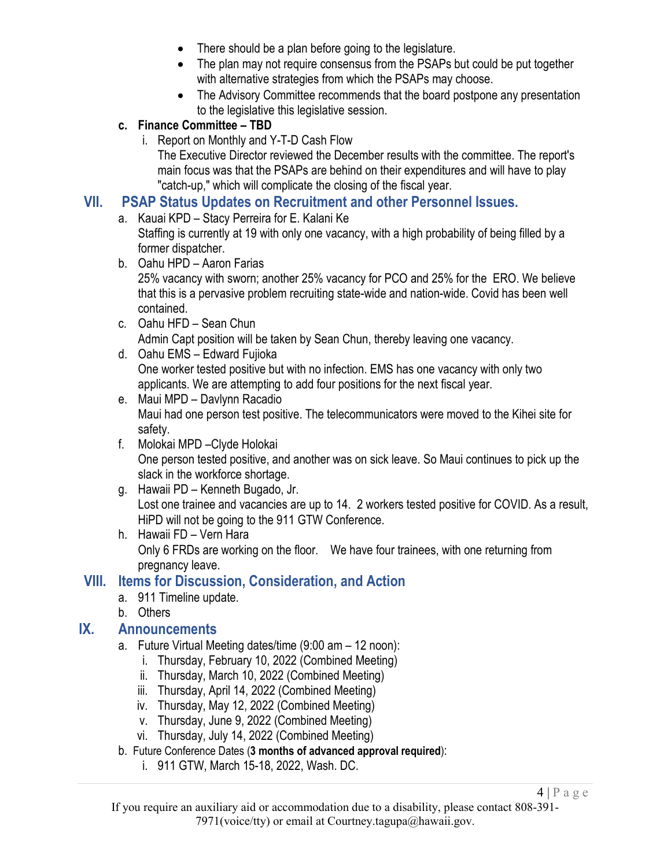- There should be a plan before going to the legislature.
- The plan may not require consensus from the PSAPs but could be put together with alternative strategies from which the PSAPs may choose.
- The Advisory Committee recommends that the board postpone any presentation to the legislative this legislative session.

#### **c. Finance Committee – TBD**

i. Report on Monthly and Y-T-D Cash Flow

The Executive Director reviewed the December results with the committee. The report's main focus was that the PSAPs are behind on their expenditures and will have to play "catch-up," which will complicate the closing of the fiscal year.

#### **VII. PSAP Status Updates on Recruitment and other Personnel Issues.**

a. Kauai KPD – Stacy Perreira for E. Kalani Ke

Staffing is currently at 19 with only one vacancy, with a high probability of being filled by a former dispatcher.

b. Oahu HPD – Aaron Farias

25% vacancy with sworn; another 25% vacancy for PCO and 25% for the ERO. We believe that this is a pervasive problem recruiting state-wide and nation-wide. Covid has been well contained.

- c. Oahu HFD Sean Chun Admin Capt position will be taken by Sean Chun, thereby leaving one vacancy.
- d. Oahu EMS Edward Fujioka One worker tested positive but with no infection. EMS has one vacancy with only two applicants. We are attempting to add four positions for the next fiscal year.
- e. Maui MPD Davlynn Racadio Maui had one person test positive. The telecommunicators were moved to the Kihei site for safety.
- f. Molokai MPD –Clyde Holokai One person tested positive, and another was on sick leave. So Maui continues to pick up the slack in the workforce shortage.
- g. Hawaii PD Kenneth Bugado, Jr. Lost one trainee and vacancies are up to 14. 2 workers tested positive for COVID. As a result, HiPD will not be going to the 911 GTW Conference.
- h. Hawaii FD Vern Hara Only 6 FRDs are working on the floor. We have four trainees, with one returning from pregnancy leave.

## **VIII. Items for Discussion, Consideration, and Action**

- a. 911 Timeline update.
- b. Others

## **IX. Announcements**

- a. Future Virtual Meeting dates/time (9:00 am 12 noon):
	- i. Thursday, February 10, 2022 (Combined Meeting)
	- ii. Thursday, March 10, 2022 (Combined Meeting)
	- iii. Thursday, April 14, 2022 (Combined Meeting)
	- iv. Thursday, May 12, 2022 (Combined Meeting)
	- v. Thursday, June 9, 2022 (Combined Meeting)
	- vi. Thursday, July 14, 2022 (Combined Meeting)
- b. Future Conference Dates (**3 months of advanced approval required**):
	- i. 911 GTW, March 15-18, 2022, Wash. DC.